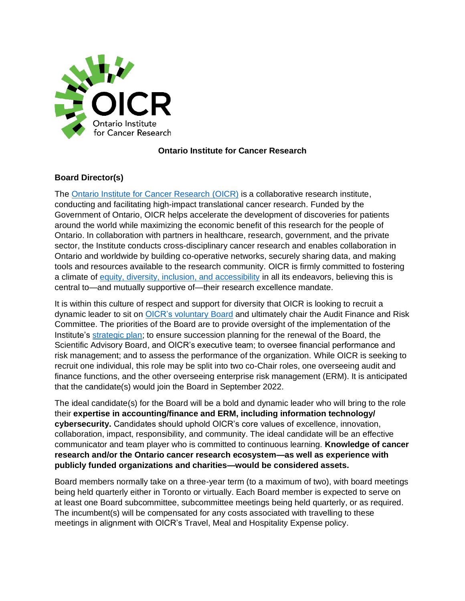

## **Ontario Institute for Cancer Research**

## **Board Director(s)**

The [Ontario Institute for Cancer Research](http://www.oicr.on.ca/) (OICR) is a collaborative research institute, conducting and facilitating high-impact translational cancer research. Funded by the Government of Ontario, OICR helps accelerate the development of discoveries for patients around the world while maximizing the economic benefit of this research for the people of Ontario. In collaboration with partners in healthcare, research, government, and the private sector, the Institute conducts cross-disciplinary cancer research and enables collaboration in Ontario and worldwide by building co-operative networks, securely sharing data, and making tools and resources available to the research community. OICR is firmly committed to fostering a climate of [equity, diversity, inclusion, and accessibility](https://oicr.on.ca/about/equity-diversity-and-inclusion/) in all its endeavors, believing this is central to—and mutually supportive of—their research excellence mandate.

It is within this culture of respect and support for diversity that OICR is looking to recruit a dynamic leader to sit on OICR's [voluntary](https://oicr.on.ca/about/leadership/) Board and ultimately chair the Audit Finance and Risk Committee. The priorities of the Board are to provide oversight of the implementation of the Institute's [strategic plan;](https://oicr.on.ca/about/equity-diversity-and-inclusion/) to ensure succession planning for the renewal of the Board, the Scientific Advisory Board, and OICR's executive team; to oversee financial performance and risk management; and to assess the performance of the organization. While OICR is seeking to recruit one individual, this role may be split into two co-Chair roles, one overseeing audit and finance functions, and the other overseeing enterprise risk management (ERM). It is anticipated that the candidate(s) would join the Board in September 2022.

The ideal candidate(s) for the Board will be a bold and dynamic leader who will bring to the role their **expertise in accounting/finance and ERM, including information technology/ cybersecurity.** Candidates should uphold OICR's core values of excellence, innovation, collaboration, impact, responsibility, and community. The ideal candidate will be an effective communicator and team player who is committed to continuous learning. **Knowledge of cancer research and/or the Ontario cancer research ecosystem—as well as experience with publicly funded organizations and charities—would be considered assets.**

Board members normally take on a three-year term (to a maximum of two), with board meetings being held quarterly either in Toronto or virtually. Each Board member is expected to serve on at least one Board subcommittee, subcommittee meetings being held quarterly, or as required. The incumbent(s) will be compensated for any costs associated with travelling to these meetings in alignment with OICR's Travel, Meal and Hospitality Expense policy.